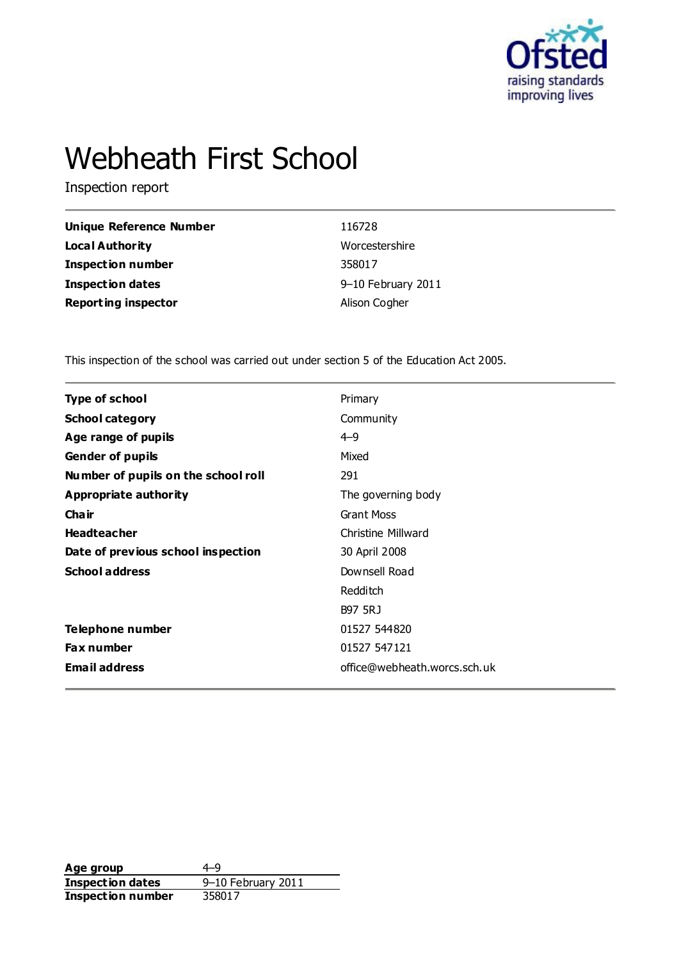

# Webheath First School

Inspection report

| Unique Reference Number    | 116728             |
|----------------------------|--------------------|
| <b>Local Authority</b>     | Worcestershire     |
| <b>Inspection number</b>   | 358017             |
| Inspection dates           | 9-10 February 2011 |
| <b>Reporting inspector</b> | Alison Cogher      |

This inspection of the school was carried out under section 5 of the Education Act 2005.

| Type of school                      | Primary                      |
|-------------------------------------|------------------------------|
| <b>School category</b>              | Community                    |
| Age range of pupils                 | $4 - 9$                      |
| <b>Gender of pupils</b>             | Mixed                        |
| Number of pupils on the school roll | 291                          |
| Appropriate authority               | The governing body           |
| Cha ir                              | <b>Grant Moss</b>            |
| <b>Headteacher</b>                  | Christine Millward           |
| Date of previous school inspection  | 30 April 2008                |
| <b>School address</b>               | Downsell Road                |
|                                     | Redditch                     |
|                                     | <b>B97 5RJ</b>               |
| <b>Telephone number</b>             | 01527 544820                 |
| <b>Fax number</b>                   | 01527 547121                 |
| <b>Email address</b>                | office@webheath.worcs.sch.uk |
|                                     |                              |

**Age group** 4–9<br> **Inspection dates** 9–10 February 2011 **Inspection dates** 9–10 February 2011 **Inspection number** 358017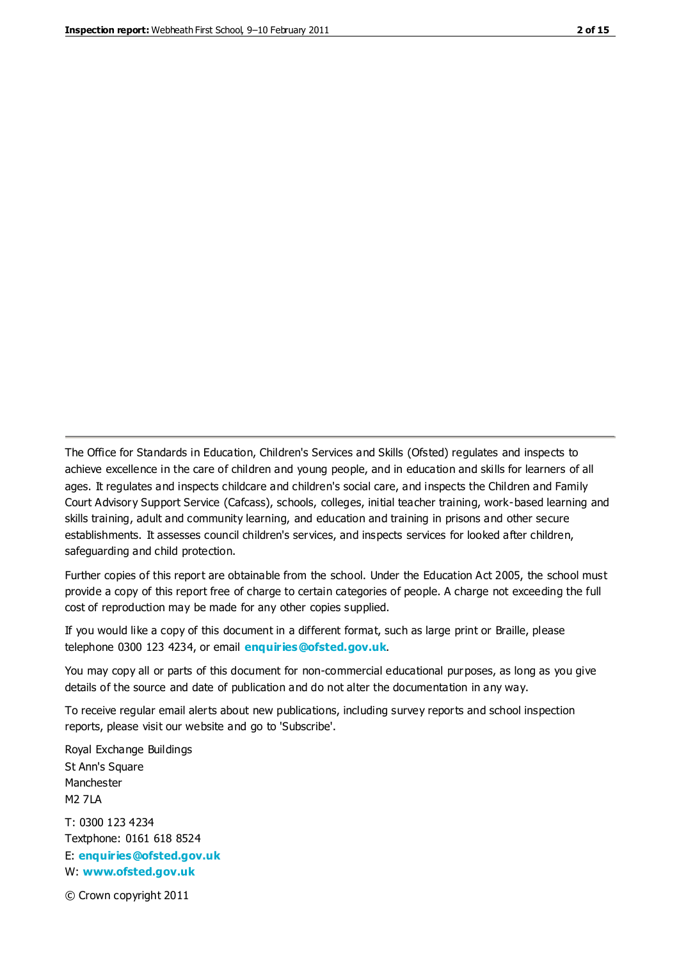The Office for Standards in Education, Children's Services and Skills (Ofsted) regulates and inspects to achieve excellence in the care of children and young people, and in education and skills for learners of all ages. It regulates and inspects childcare and children's social care, and inspects the Children and Family Court Advisory Support Service (Cafcass), schools, colleges, initial teacher training, work-based learning and skills training, adult and community learning, and education and training in prisons and other secure establishments. It assesses council children's services, and inspects services for looked after children, safeguarding and child protection.

Further copies of this report are obtainable from the school. Under the Education Act 2005, the school must provide a copy of this report free of charge to certain categories of people. A charge not exceeding the full cost of reproduction may be made for any other copies supplied.

If you would like a copy of this document in a different format, such as large print or Braille, please telephone 0300 123 4234, or email **[enquiries@ofsted.gov.uk](mailto:enquiries@ofsted.gov.uk)**.

You may copy all or parts of this document for non-commercial educational purposes, as long as you give details of the source and date of publication and do not alter the documentation in any way.

To receive regular email alerts about new publications, including survey reports and school inspection reports, please visit our website and go to 'Subscribe'.

Royal Exchange Buildings St Ann's Square Manchester M2 7LA T: 0300 123 4234 Textphone: 0161 618 8524 E: **[enquiries@ofsted.gov.uk](mailto:enquiries@ofsted.gov.uk)**

W: **[www.ofsted.gov.uk](http://www.ofsted.gov.uk/)**

© Crown copyright 2011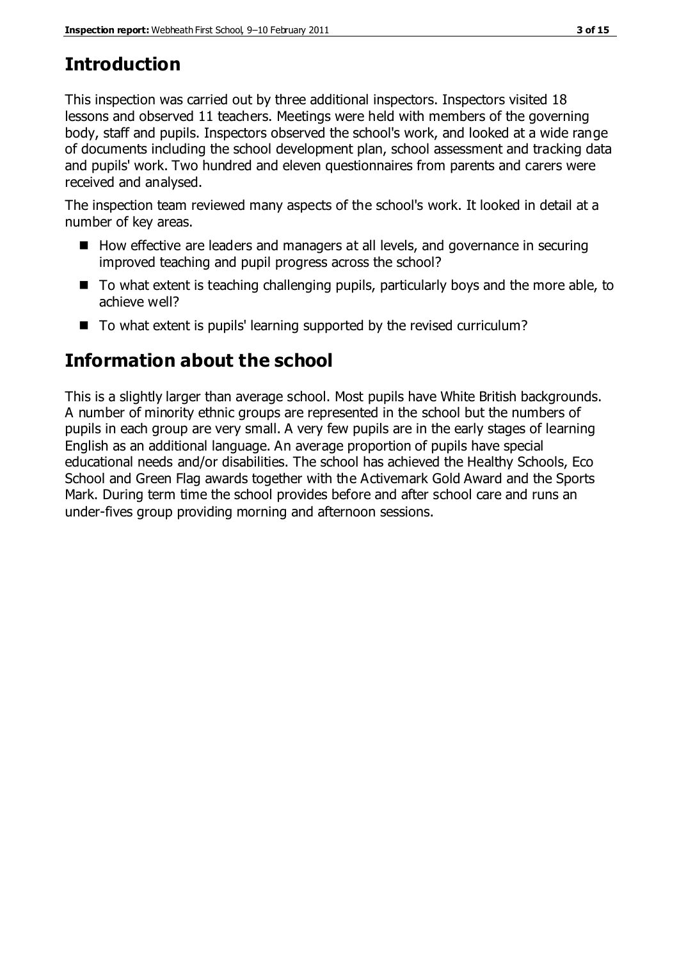# **Introduction**

This inspection was carried out by three additional inspectors. Inspectors visited 18 lessons and observed 11 teachers. Meetings were held with members of the governing body, staff and pupils. Inspectors observed the school's work, and looked at a wide range of documents including the school development plan, school assessment and tracking data and pupils' work. Two hundred and eleven questionnaires from parents and carers were received and analysed.

The inspection team reviewed many aspects of the school's work. It looked in detail at a number of key areas.

- How effective are leaders and managers at all levels, and governance in securing improved teaching and pupil progress across the school?
- To what extent is teaching challenging pupils, particularly boys and the more able, to achieve well?
- To what extent is pupils' learning supported by the revised curriculum?

# **Information about the school**

This is a slightly larger than average school. Most pupils have White British backgrounds. A number of minority ethnic groups are represented in the school but the numbers of pupils in each group are very small. A very few pupils are in the early stages of learning English as an additional language. An average proportion of pupils have special educational needs and/or disabilities. The school has achieved the Healthy Schools, Eco School and Green Flag awards together with the Activemark Gold Award and the Sports Mark. During term time the school provides before and after school care and runs an under-fives group providing morning and afternoon sessions.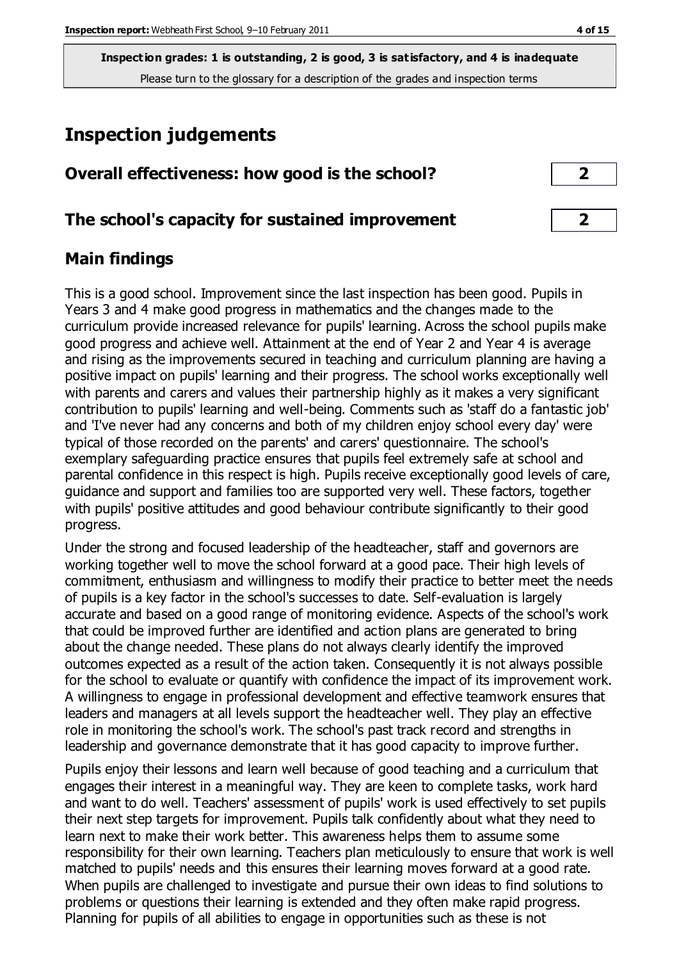# **Inspection judgements**

### **Overall effectiveness: how good is the school? 2**

### **The school's capacity for sustained improvement 2**

## **Main findings**

This is a good school. Improvement since the last inspection has been good. Pupils in Years 3 and 4 make good progress in mathematics and the changes made to the curriculum provide increased relevance for pupils' learning. Across the school pupils make good progress and achieve well. Attainment at the end of Year 2 and Year 4 is average and rising as the improvements secured in teaching and curriculum planning are having a positive impact on pupils' learning and their progress. The school works exceptionally well with parents and carers and values their partnership highly as it makes a very significant contribution to pupils' learning and well-being. Comments such as 'staff do a fantastic job' and 'I've never had any concerns and both of my children enjoy school every day' were typical of those recorded on the parents' and carers' questionnaire. The school's exemplary safeguarding practice ensures that pupils feel extremely safe at school and parental confidence in this respect is high. Pupils receive exceptionally good levels of care, guidance and support and families too are supported very well. These factors, together with pupils' positive attitudes and good behaviour contribute significantly to their good progress.

Under the strong and focused leadership of the headteacher, staff and governors are working together well to move the school forward at a good pace. Their high levels of commitment, enthusiasm and willingness to modify their practice to better meet the needs of pupils is a key factor in the school's successes to date. Self-evaluation is largely accurate and based on a good range of monitoring evidence. Aspects of the school's work that could be improved further are identified and action plans are generated to bring about the change needed. These plans do not always clearly identify the improved outcomes expected as a result of the action taken. Consequently it is not always possible for the school to evaluate or quantify with confidence the impact of its improvement work. A willingness to engage in professional development and effective teamwork ensures that leaders and managers at all levels support the headteacher well. They play an effective role in monitoring the school's work. The school's past track record and strengths in leadership and governance demonstrate that it has good capacity to improve further.

Pupils enjoy their lessons and learn well because of good teaching and a curriculum that engages their interest in a meaningful way. They are keen to complete tasks, work hard and want to do well. Teachers' assessment of pupils' work is used effectively to set pupils their next step targets for improvement. Pupils talk confidently about what they need to learn next to make their work better. This awareness helps them to assume some responsibility for their own learning. Teachers plan meticulously to ensure that work is well matched to pupils' needs and this ensures their learning moves forward at a good rate. When pupils are challenged to investigate and pursue their own ideas to find solutions to problems or questions their learning is extended and they often make rapid progress. Planning for pupils of all abilities to engage in opportunities such as these is not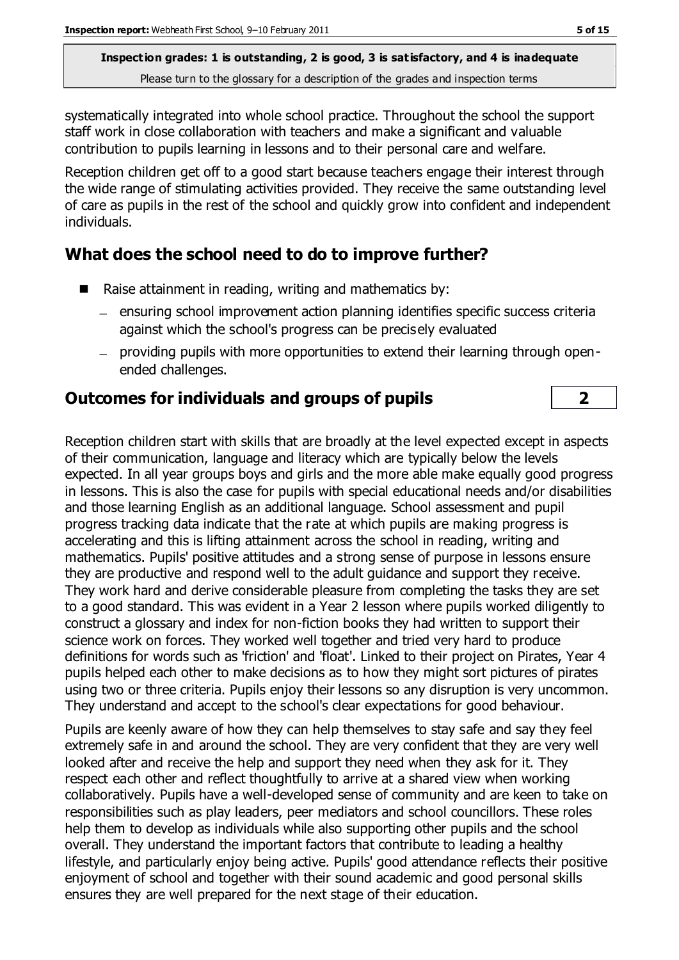systematically integrated into whole school practice. Throughout the school the support staff work in close collaboration with teachers and make a significant and valuable contribution to pupils learning in lessons and to their personal care and welfare.

Reception children get off to a good start because teachers engage their interest through the wide range of stimulating activities provided. They receive the same outstanding level of care as pupils in the rest of the school and quickly grow into confident and independent individuals.

# **What does the school need to do to improve further?**

- Raise attainment in reading, writing and mathematics by:
	- ensuring school improvement action planning identifies specific success criteria against which the school's progress can be precisely evaluated
	- providing pupils with more opportunities to extend their learning through openended challenges.

# **Outcomes for individuals and groups of pupils 2**

Reception children start with skills that are broadly at the level expected except in aspects of their communication, language and literacy which are typically below the levels expected. In all year groups boys and girls and the more able make equally good progress in lessons. This is also the case for pupils with special educational needs and/or disabilities and those learning English as an additional language. School assessment and pupil progress tracking data indicate that the rate at which pupils are making progress is accelerating and this is lifting attainment across the school in reading, writing and mathematics. Pupils' positive attitudes and a strong sense of purpose in lessons ensure they are productive and respond well to the adult guidance and support they receive. They work hard and derive considerable pleasure from completing the tasks they are set to a good standard. This was evident in a Year 2 lesson where pupils worked diligently to construct a glossary and index for non-fiction books they had written to support their science work on forces. They worked well together and tried very hard to produce definitions for words such as 'friction' and 'float'. Linked to their project on Pirates, Year 4 pupils helped each other to make decisions as to how they might sort pictures of pirates using two or three criteria. Pupils enjoy their lessons so any disruption is very uncommon. They understand and accept to the school's clear expectations for good behaviour.

Pupils are keenly aware of how they can help themselves to stay safe and say they feel extremely safe in and around the school. They are very confident that they are very well looked after and receive the help and support they need when they ask for it. They respect each other and reflect thoughtfully to arrive at a shared view when working collaboratively. Pupils have a well-developed sense of community and are keen to take on responsibilities such as play leaders, peer mediators and school councillors. These roles help them to develop as individuals while also supporting other pupils and the school overall. They understand the important factors that contribute to leading a healthy lifestyle, and particularly enjoy being active. Pupils' good attendance reflects their positive enjoyment of school and together with their sound academic and good personal skills ensures they are well prepared for the next stage of their education.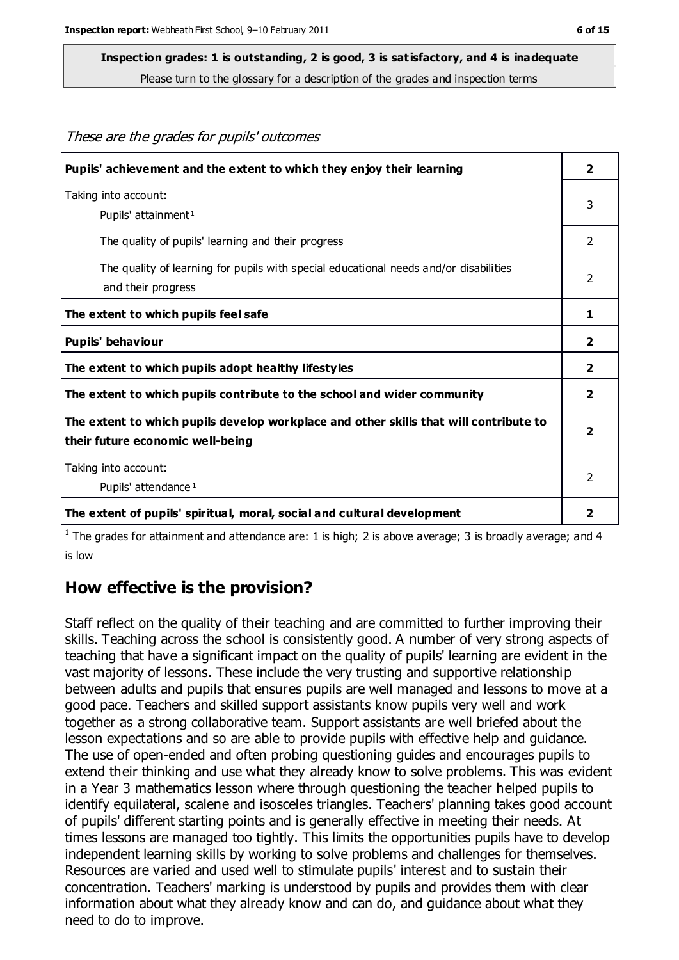These are the grades for pupils' outcomes

#### **Inspection grades: 1 is outstanding, 2 is good, 3 is satisfactory, and 4 is inadequate**

Please turn to the glossary for a description of the grades and inspection terms

| Pupils' achievement and the extent to which they enjoy their learning                                                     |                         |  |
|---------------------------------------------------------------------------------------------------------------------------|-------------------------|--|
| Taking into account:<br>Pupils' attainment <sup>1</sup>                                                                   | 3                       |  |
| The quality of pupils' learning and their progress                                                                        | $\overline{2}$          |  |
| The quality of learning for pupils with special educational needs and/or disabilities<br>and their progress               | 2                       |  |
| The extent to which pupils feel safe                                                                                      | 1                       |  |
| Pupils' behaviour                                                                                                         | 2                       |  |
| The extent to which pupils adopt healthy lifestyles                                                                       | $\mathbf{2}$            |  |
| The extent to which pupils contribute to the school and wider community                                                   | $\overline{\mathbf{2}}$ |  |
| The extent to which pupils develop workplace and other skills that will contribute to<br>their future economic well-being |                         |  |
| Taking into account:<br>Pupils' attendance <sup>1</sup>                                                                   | 2                       |  |
| The extent of pupils' spiritual, moral, social and cultural development                                                   | 2                       |  |

<sup>1</sup> The grades for attainment and attendance are: 1 is high; 2 is above average; 3 is broadly average; and 4 is low

### **How effective is the provision?**

Staff reflect on the quality of their teaching and are committed to further improving their skills. Teaching across the school is consistently good. A number of very strong aspects of teaching that have a significant impact on the quality of pupils' learning are evident in the vast majority of lessons. These include the very trusting and supportive relationship between adults and pupils that ensures pupils are well managed and lessons to move at a good pace. Teachers and skilled support assistants know pupils very well and work together as a strong collaborative team. Support assistants are well briefed about the lesson expectations and so are able to provide pupils with effective help and guidance. The use of open-ended and often probing questioning guides and encourages pupils to extend their thinking and use what they already know to solve problems. This was evident in a Year 3 mathematics lesson where through questioning the teacher helped pupils to identify equilateral, scalene and isosceles triangles. Teachers' planning takes good account of pupils' different starting points and is generally effective in meeting their needs. At times lessons are managed too tightly. This limits the opportunities pupils have to develop independent learning skills by working to solve problems and challenges for themselves. Resources are varied and used well to stimulate pupils' interest and to sustain their concentration. Teachers' marking is understood by pupils and provides them with clear information about what they already know and can do, and guidance about what they need to do to improve.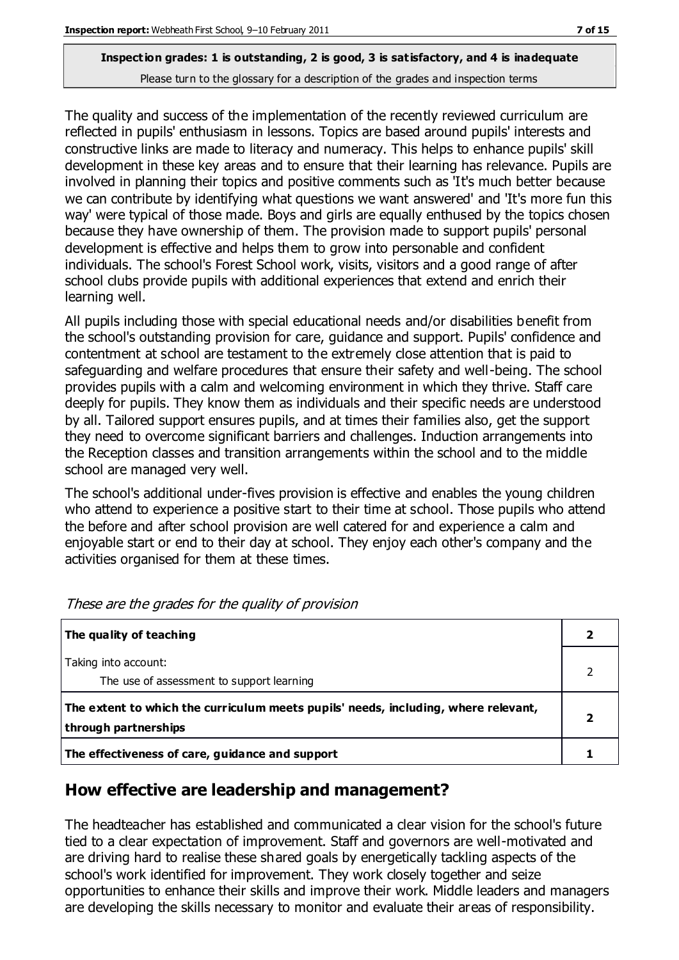The quality and success of the implementation of the recently reviewed curriculum are reflected in pupils' enthusiasm in lessons. Topics are based around pupils' interests and constructive links are made to literacy and numeracy. This helps to enhance pupils' skill development in these key areas and to ensure that their learning has relevance. Pupils are involved in planning their topics and positive comments such as 'It's much better because we can contribute by identifying what questions we want answered' and 'It's more fun this way' were typical of those made. Boys and girls are equally enthused by the topics chosen because they have ownership of them. The provision made to support pupils' personal development is effective and helps them to grow into personable and confident individuals. The school's Forest School work, visits, visitors and a good range of after school clubs provide pupils with additional experiences that extend and enrich their learning well.

All pupils including those with special educational needs and/or disabilities benefit from the school's outstanding provision for care, guidance and support. Pupils' confidence and contentment at school are testament to the extremely close attention that is paid to safeguarding and welfare procedures that ensure their safety and well-being. The school provides pupils with a calm and welcoming environment in which they thrive. Staff care deeply for pupils. They know them as individuals and their specific needs are understood by all. Tailored support ensures pupils, and at times their families also, get the support they need to overcome significant barriers and challenges. Induction arrangements into the Reception classes and transition arrangements within the school and to the middle school are managed very well.

The school's additional under-fives provision is effective and enables the young children who attend to experience a positive start to their time at school. Those pupils who attend the before and after school provision are well catered for and experience a calm and enjoyable start or end to their day at school. They enjoy each other's company and the activities organised for them at these times.

| The quality of teaching                                                                                    |  |
|------------------------------------------------------------------------------------------------------------|--|
| Taking into account:<br>The use of assessment to support learning                                          |  |
| The extent to which the curriculum meets pupils' needs, including, where relevant,<br>through partnerships |  |
| The effectiveness of care, guidance and support                                                            |  |

These are the grades for the quality of provision

# **How effective are leadership and management?**

The headteacher has established and communicated a clear vision for the school's future tied to a clear expectation of improvement. Staff and governors are well-motivated and are driving hard to realise these shared goals by energetically tackling aspects of the school's work identified for improvement. They work closely together and seize opportunities to enhance their skills and improve their work. Middle leaders and managers are developing the skills necessary to monitor and evaluate their areas of responsibility.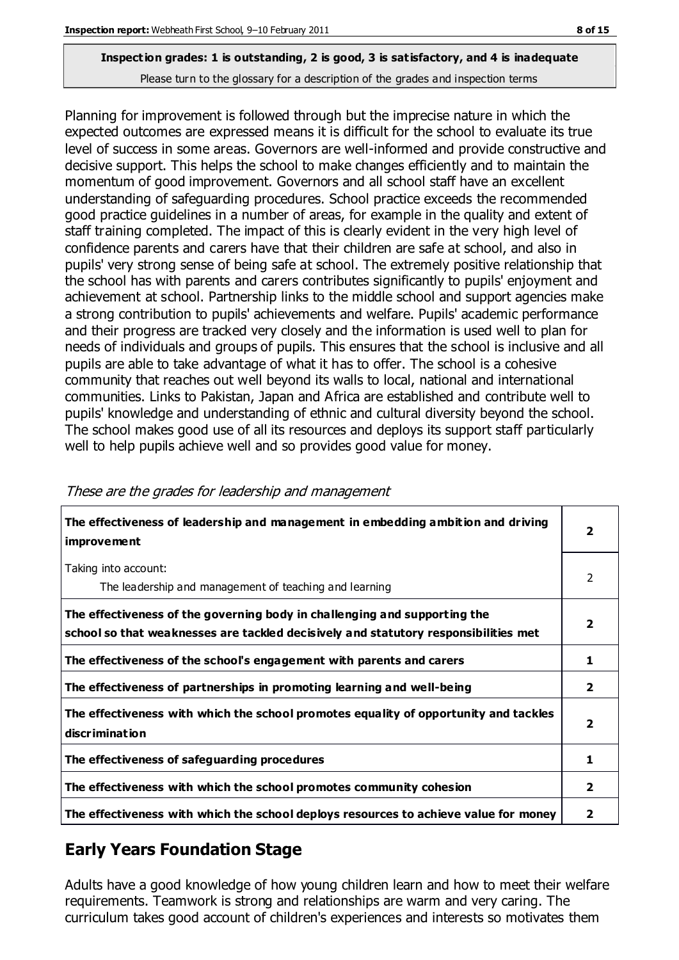Planning for improvement is followed through but the imprecise nature in which the expected outcomes are expressed means it is difficult for the school to evaluate its true level of success in some areas. Governors are well-informed and provide constructive and decisive support. This helps the school to make changes efficiently and to maintain the momentum of good improvement. Governors and all school staff have an excellent understanding of safeguarding procedures. School practice exceeds the recommended good practice guidelines in a number of areas, for example in the quality and extent of staff training completed. The impact of this is clearly evident in the very high level of confidence parents and carers have that their children are safe at school, and also in pupils' very strong sense of being safe at school. The extremely positive relationship that the school has with parents and carers contributes significantly to pupils' enjoyment and achievement at school. Partnership links to the middle school and support agencies make a strong contribution to pupils' achievements and welfare. Pupils' academic performance and their progress are tracked very closely and the information is used well to plan for needs of individuals and groups of pupils. This ensures that the school is inclusive and all pupils are able to take advantage of what it has to offer. The school is a cohesive community that reaches out well beyond its walls to local, national and international communities. Links to Pakistan, Japan and Africa are established and contribute well to pupils' knowledge and understanding of ethnic and cultural diversity beyond the school. The school makes good use of all its resources and deploys its support staff particularly well to help pupils achieve well and so provides good value for money.

| The effectiveness of leadership and management in embedding ambition and driving<br>improvement                                                                  |                |
|------------------------------------------------------------------------------------------------------------------------------------------------------------------|----------------|
| Taking into account:<br>The leadership and management of teaching and learning                                                                                   | 2              |
| The effectiveness of the governing body in challenging and supporting the<br>school so that weaknesses are tackled decisively and statutory responsibilities met | $\overline{2}$ |
| The effectiveness of the school's engagement with parents and carers                                                                                             |                |
| The effectiveness of partnerships in promoting learning and well-being                                                                                           | 2              |
| The effectiveness with which the school promotes equality of opportunity and tackles<br>discrimination                                                           | $\mathbf{2}$   |
| The effectiveness of safeguarding procedures                                                                                                                     |                |
| The effectiveness with which the school promotes community cohesion                                                                                              |                |
| The effectiveness with which the school deploys resources to achieve value for money                                                                             | 2              |

#### These are the grades for leadership and management

# **Early Years Foundation Stage**

Adults have a good knowledge of how young children learn and how to meet their welfare requirements. Teamwork is strong and relationships are warm and very caring. The curriculum takes good account of children's experiences and interests so motivates them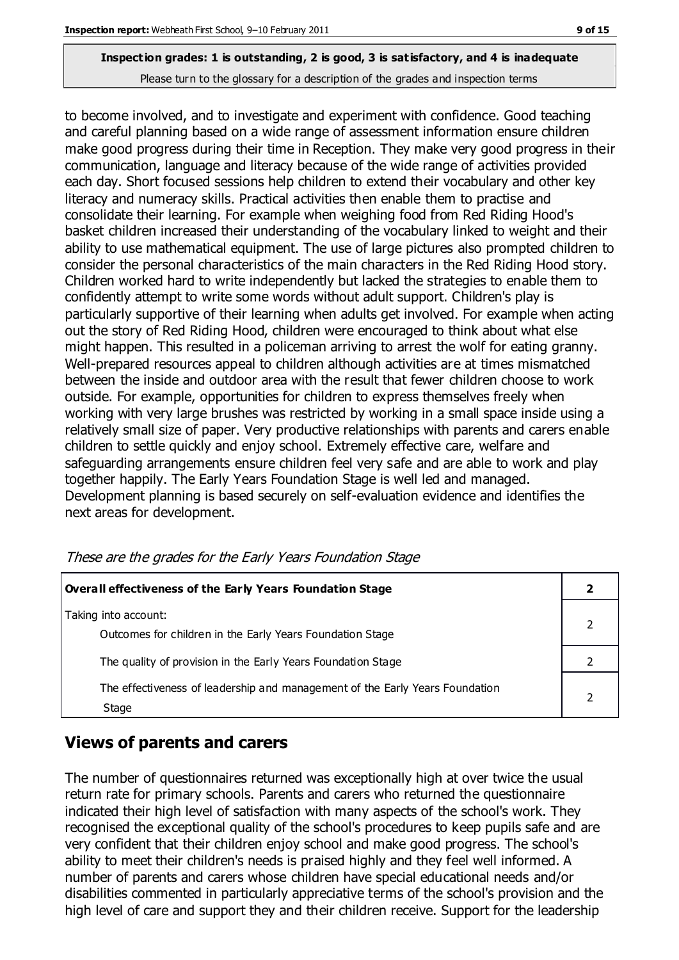to become involved, and to investigate and experiment with confidence. Good teaching and careful planning based on a wide range of assessment information ensure children make good progress during their time in Reception. They make very good progress in their communication, language and literacy because of the wide range of activities provided each day. Short focused sessions help children to extend their vocabulary and other key literacy and numeracy skills. Practical activities then enable them to practise and consolidate their learning. For example when weighing food from Red Riding Hood's basket children increased their understanding of the vocabulary linked to weight and their ability to use mathematical equipment. The use of large pictures also prompted children to consider the personal characteristics of the main characters in the Red Riding Hood story. Children worked hard to write independently but lacked the strategies to enable them to confidently attempt to write some words without adult support. Children's play is particularly supportive of their learning when adults get involved. For example when acting out the story of Red Riding Hood, children were encouraged to think about what else might happen. This resulted in a policeman arriving to arrest the wolf for eating granny. Well-prepared resources appeal to children although activities are at times mismatched between the inside and outdoor area with the result that fewer children choose to work outside. For example, opportunities for children to express themselves freely when working with very large brushes was restricted by working in a small space inside using a relatively small size of paper. Very productive relationships with parents and carers enable children to settle quickly and enjoy school. Extremely effective care, welfare and safeguarding arrangements ensure children feel very safe and are able to work and play together happily. The Early Years Foundation Stage is well led and managed. Development planning is based securely on self-evaluation evidence and identifies the next areas for development.

**Overall effectiveness of the Early Years Foundation Stage 2** Taking into account: Outcomes for children in the Early Years Foundation Stage 2 The quality of provision in the Early Years Foundation Stage **2** 2 The effectiveness of leadership and management of the Early Years Foundation Stage 2

These are the grades for the Early Years Foundation Stage

# **Views of parents and carers**

The number of questionnaires returned was exceptionally high at over twice the usual return rate for primary schools. Parents and carers who returned the questionnaire indicated their high level of satisfaction with many aspects of the school's work. They recognised the exceptional quality of the school's procedures to keep pupils safe and are very confident that their children enjoy school and make good progress. The school's ability to meet their children's needs is praised highly and they feel well informed. A number of parents and carers whose children have special educational needs and/or disabilities commented in particularly appreciative terms of the school's provision and the high level of care and support they and their children receive. Support for the leadership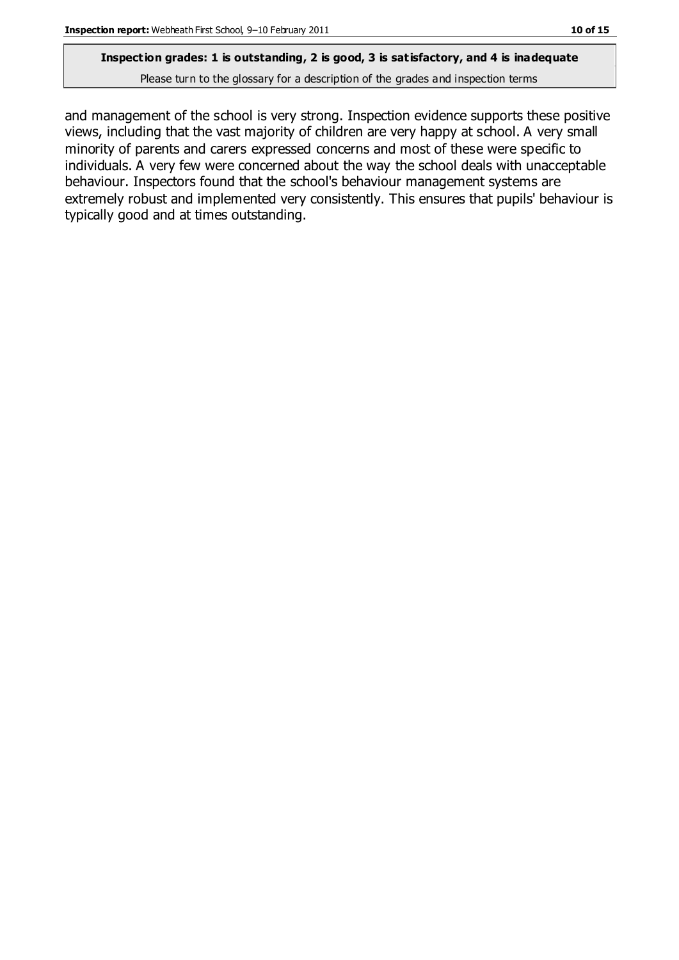### **Inspection grades: 1 is outstanding, 2 is good, 3 is satisfactory, and 4 is inadequate**

Please turn to the glossary for a description of the grades and inspection terms

and management of the school is very strong. Inspection evidence supports these positive views, including that the vast majority of children are very happy at school. A very small minority of parents and carers expressed concerns and most of these were specific to individuals. A very few were concerned about the way the school deals with unacceptable behaviour. Inspectors found that the school's behaviour management systems are extremely robust and implemented very consistently. This ensures that pupils' behaviour is typically good and at times outstanding.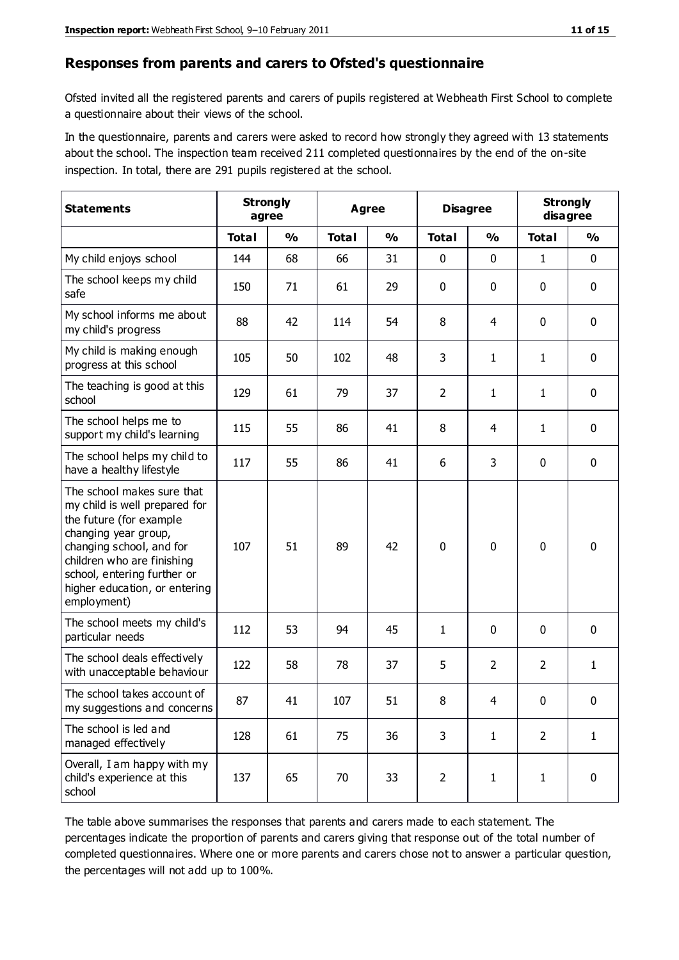#### **Responses from parents and carers to Ofsted's questionnaire**

Ofsted invited all the registered parents and carers of pupils registered at Webheath First School to complete a questionnaire about their views of the school.

In the questionnaire, parents and carers were asked to record how strongly they agreed with 13 statements about the school. The inspection team received 211 completed questionnaires by the end of the on-site inspection. In total, there are 291 pupils registered at the school.

| <b>Statements</b>                                                                                                                                                                                                                                       | <b>Strongly</b><br>agree |               | <b>Agree</b> |               | <b>Disagree</b> |                | <b>Strongly</b><br>disagree |               |
|---------------------------------------------------------------------------------------------------------------------------------------------------------------------------------------------------------------------------------------------------------|--------------------------|---------------|--------------|---------------|-----------------|----------------|-----------------------------|---------------|
|                                                                                                                                                                                                                                                         | <b>Total</b>             | $\frac{0}{0}$ | <b>Total</b> | $\frac{0}{0}$ | <b>Total</b>    | $\frac{0}{0}$  | <b>Total</b>                | $\frac{0}{0}$ |
| My child enjoys school                                                                                                                                                                                                                                  | 144                      | 68            | 66           | 31            | 0               | 0              | 1                           | $\mathbf 0$   |
| The school keeps my child<br>safe                                                                                                                                                                                                                       | 150                      | 71            | 61           | 29            | 0               | 0              | $\mathbf 0$                 | $\mathbf 0$   |
| My school informs me about<br>my child's progress                                                                                                                                                                                                       | 88                       | 42            | 114          | 54            | 8               | 4              | $\mathbf 0$                 | $\mathbf 0$   |
| My child is making enough<br>progress at this school                                                                                                                                                                                                    | 105                      | 50            | 102          | 48            | 3               | 1              | 1                           | $\mathbf 0$   |
| The teaching is good at this<br>school                                                                                                                                                                                                                  | 129                      | 61            | 79           | 37            | $\overline{2}$  | $\mathbf{1}$   | 1                           | $\mathbf 0$   |
| The school helps me to<br>support my child's learning                                                                                                                                                                                                   | 115                      | 55            | 86           | 41            | 8               | 4              | 1                           | $\mathbf 0$   |
| The school helps my child to<br>have a healthy lifestyle                                                                                                                                                                                                | 117                      | 55            | 86           | 41            | 6               | 3              | $\mathbf 0$                 | $\mathbf 0$   |
| The school makes sure that<br>my child is well prepared for<br>the future (for example<br>changing year group,<br>changing school, and for<br>children who are finishing<br>school, entering further or<br>higher education, or entering<br>employment) | 107                      | 51            | 89           | 42            | $\mathbf 0$     | 0              | $\mathbf 0$                 | $\mathbf 0$   |
| The school meets my child's<br>particular needs                                                                                                                                                                                                         | 112                      | 53            | 94           | 45            | 1               | 0              | $\mathbf 0$                 | $\mathbf 0$   |
| The school deals effectively<br>with unacceptable behaviour                                                                                                                                                                                             | 122                      | 58            | 78           | 37            | 5               | $\overline{2}$ | 2                           | $\mathbf{1}$  |
| The school takes account of<br>my suggestions and concerns                                                                                                                                                                                              | 87                       | 41            | 107          | 51            | 8               | 4              | 0                           | 0             |
| The school is led and<br>managed effectively                                                                                                                                                                                                            | 128                      | 61            | 75           | 36            | 3               | $\mathbf{1}$   | $\overline{2}$              | $\mathbf{1}$  |
| Overall, I am happy with my<br>child's experience at this<br>school                                                                                                                                                                                     | 137                      | 65            | 70           | 33            | $\overline{2}$  | $\mathbf{1}$   | $\mathbf{1}$                | $\mathbf 0$   |

The table above summarises the responses that parents and carers made to each statement. The percentages indicate the proportion of parents and carers giving that response out of the total number of completed questionnaires. Where one or more parents and carers chose not to answer a particular question, the percentages will not add up to 100%.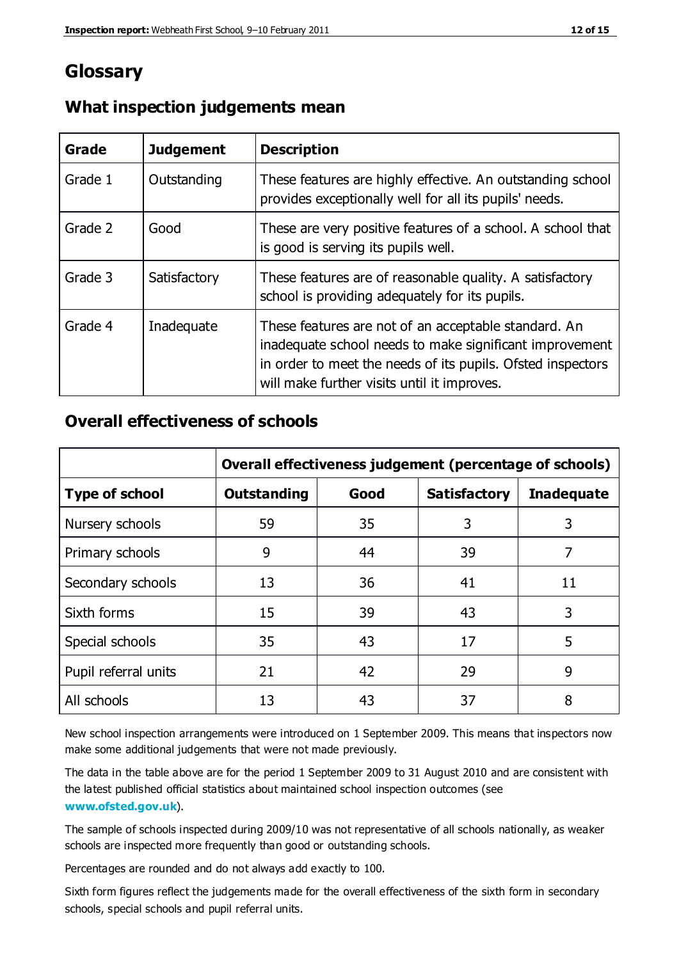# **Glossary**

| Grade   | <b>Judgement</b> | <b>Description</b>                                                                                                                                                                                                            |
|---------|------------------|-------------------------------------------------------------------------------------------------------------------------------------------------------------------------------------------------------------------------------|
| Grade 1 | Outstanding      | These features are highly effective. An outstanding school<br>provides exceptionally well for all its pupils' needs.                                                                                                          |
| Grade 2 | Good             | These are very positive features of a school. A school that<br>is good is serving its pupils well.                                                                                                                            |
| Grade 3 | Satisfactory     | These features are of reasonable quality. A satisfactory<br>school is providing adequately for its pupils.                                                                                                                    |
| Grade 4 | Inadequate       | These features are not of an acceptable standard. An<br>inadequate school needs to make significant improvement<br>in order to meet the needs of its pupils. Ofsted inspectors<br>will make further visits until it improves. |

### **What inspection judgements mean**

### **Overall effectiveness of schools**

|                       | Overall effectiveness judgement (percentage of schools) |      |                     |                   |
|-----------------------|---------------------------------------------------------|------|---------------------|-------------------|
| <b>Type of school</b> | <b>Outstanding</b>                                      | Good | <b>Satisfactory</b> | <b>Inadequate</b> |
| Nursery schools       | 59                                                      | 35   | 3                   | 3                 |
| Primary schools       | 9                                                       | 44   | 39                  | 7                 |
| Secondary schools     | 13                                                      | 36   | 41                  | 11                |
| Sixth forms           | 15                                                      | 39   | 43                  | 3                 |
| Special schools       | 35                                                      | 43   | 17                  | 5                 |
| Pupil referral units  | 21                                                      | 42   | 29                  | 9                 |
| All schools           | 13                                                      | 43   | 37                  | 8                 |

New school inspection arrangements were introduced on 1 September 2009. This means that inspectors now make some additional judgements that were not made previously.

The data in the table above are for the period 1 September 2009 to 31 August 2010 and are consistent with the latest published official statistics about maintained school inspection outcomes (see **[www.ofsted.gov.uk](http://www.ofsted.gov.uk/)**).

The sample of schools inspected during 2009/10 was not representative of all schools nationally, as weaker schools are inspected more frequently than good or outstanding schools.

Percentages are rounded and do not always add exactly to 100.

Sixth form figures reflect the judgements made for the overall effectiveness of the sixth form in secondary schools, special schools and pupil referral units.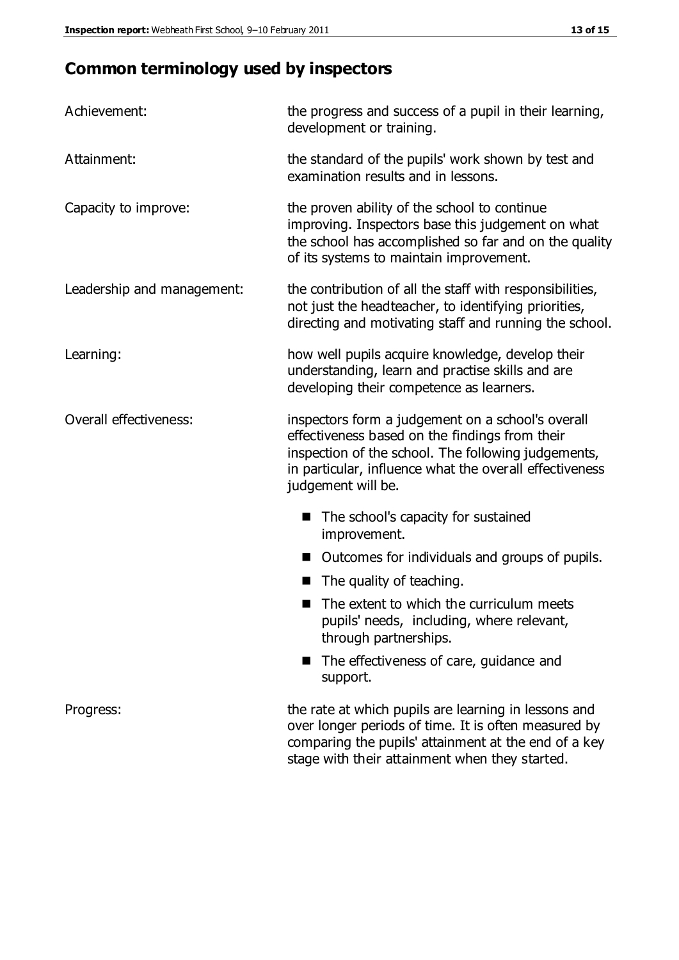# **Common terminology used by inspectors**

| Achievement:               | the progress and success of a pupil in their learning,<br>development or training.                                                                                                                                                          |  |  |
|----------------------------|---------------------------------------------------------------------------------------------------------------------------------------------------------------------------------------------------------------------------------------------|--|--|
| Attainment:                | the standard of the pupils' work shown by test and<br>examination results and in lessons.                                                                                                                                                   |  |  |
| Capacity to improve:       | the proven ability of the school to continue<br>improving. Inspectors base this judgement on what<br>the school has accomplished so far and on the quality<br>of its systems to maintain improvement.                                       |  |  |
| Leadership and management: | the contribution of all the staff with responsibilities,<br>not just the headteacher, to identifying priorities,<br>directing and motivating staff and running the school.                                                                  |  |  |
| Learning:                  | how well pupils acquire knowledge, develop their<br>understanding, learn and practise skills and are<br>developing their competence as learners.                                                                                            |  |  |
| Overall effectiveness:     | inspectors form a judgement on a school's overall<br>effectiveness based on the findings from their<br>inspection of the school. The following judgements,<br>in particular, influence what the overall effectiveness<br>judgement will be. |  |  |
|                            | The school's capacity for sustained<br>improvement.                                                                                                                                                                                         |  |  |
|                            | Outcomes for individuals and groups of pupils.                                                                                                                                                                                              |  |  |
|                            | The quality of teaching.                                                                                                                                                                                                                    |  |  |
|                            | The extent to which the curriculum meets<br>pupils' needs, including, where relevant,<br>through partnerships.                                                                                                                              |  |  |
|                            | The effectiveness of care, guidance and<br>support.                                                                                                                                                                                         |  |  |
| Progress:                  | the rate at which pupils are learning in lessons and<br>over longer periods of time. It is often measured by<br>comparing the pupils' attainment at the end of a key                                                                        |  |  |

stage with their attainment when they started.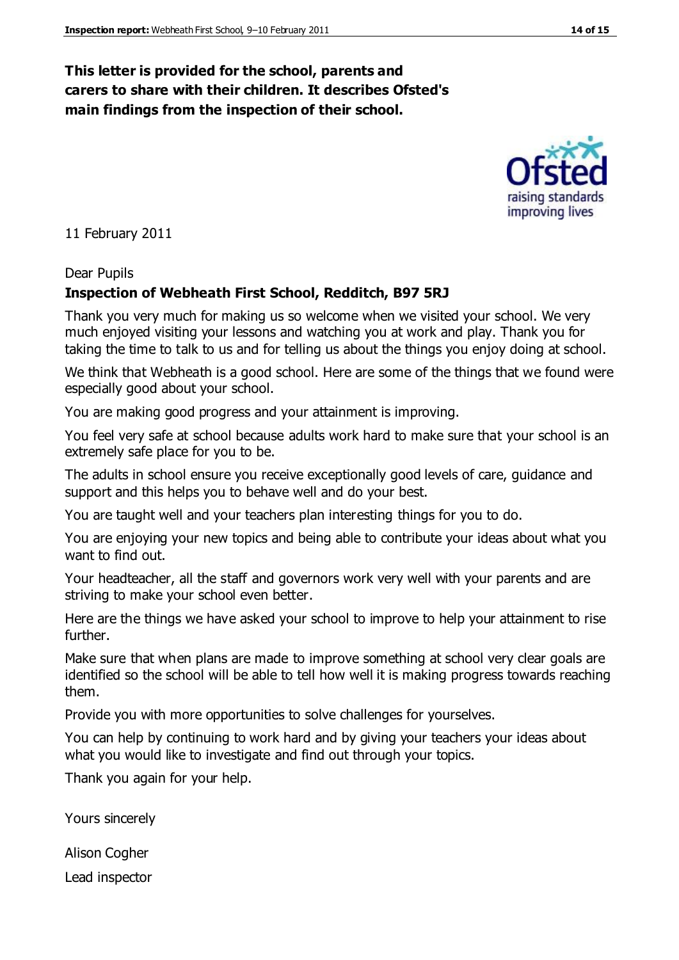### **This letter is provided for the school, parents and carers to share with their children. It describes Ofsted's main findings from the inspection of their school.**

11 February 2011

#### Dear Pupils

#### **Inspection of Webheath First School, Redditch, B97 5RJ**

Thank you very much for making us so welcome when we visited your school. We very much enjoyed visiting your lessons and watching you at work and play. Thank you for taking the time to talk to us and for telling us about the things you enjoy doing at school.

We think that Webheath is a good school. Here are some of the things that we found were especially good about your school.

You are making good progress and your attainment is improving.

You feel very safe at school because adults work hard to make sure that your school is an extremely safe place for you to be.

The adults in school ensure you receive exceptionally good levels of care, guidance and support and this helps you to behave well and do your best.

You are taught well and your teachers plan interesting things for you to do.

You are enjoying your new topics and being able to contribute your ideas about what you want to find out.

Your headteacher, all the staff and governors work very well with your parents and are striving to make your school even better.

Here are the things we have asked your school to improve to help your attainment to rise further.

Make sure that when plans are made to improve something at school very clear goals are identified so the school will be able to tell how well it is making progress towards reaching them.

Provide you with more opportunities to solve challenges for yourselves.

You can help by continuing to work hard and by giving your teachers your ideas about what you would like to investigate and find out through your topics.

Thank you again for your help.

Yours sincerely

Alison Cogher

Lead inspector